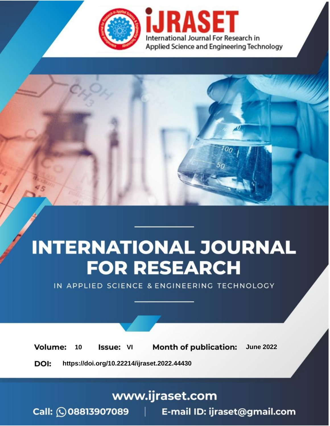

# **INTERNATIONAL JOURNAL FOR RESEARCH**

IN APPLIED SCIENCE & ENGINEERING TECHNOLOGY

**Month of publication: Volume:** 10 **Issue: VI June 2022** 

DOI: https://doi.org/10.22214/ijraset.2022.44430

www.ijraset.com

Call: 008813907089 | E-mail ID: ijraset@gmail.com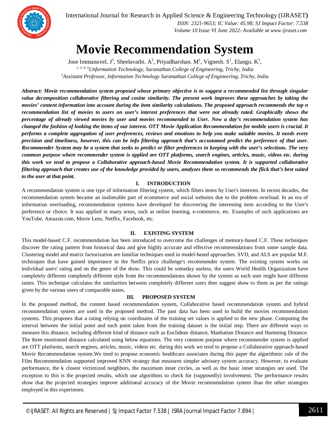

International Journal for Research in Applied Science & Engineering Technology (IJRASET**)**

 *ISSN: 2321-9653; IC Value: 45.98; SJ Impact Factor: 7.538 Volume 10 Issue VI June 2022- Available at www.ijraset.com*

### **Movie Recommendation System**

Jose Immanuvel. J<sup>1</sup>, Sheelavathi. A<sup>2</sup>, Priyadharshan. M<sup>1</sup>, Vignesh. S<sup>1</sup>, Elango. K<sup>1</sup>, *1, 3, 4, 5Unformation Technology, Saranathan College of Engineering, Trichy, India <sup>2</sup>Assistant Professor, Information Technology Saranathan College of Engineering, Trichy, India*

*Abstract: Movie recommendation system proposed whose primary objective is to suggest a recommended list through singular value decomposition collaborative filtering and cosine similarity. The present work improves these approaches by taking the movies' content information into account during the item similarity calculations. The proposed approach recommends the top n recommendation list of movies to users on user's interest preferences that were not already rated. Graphically shows the percentage of already viewed movies by user and movies recommended to User. Now a day's recommendation system has changed the fashion of looking the items of our interest. OTT Movie Application Recommendation for mobile users is crucial. It performs a complete aggregation of user preferences, reviews and emotions to help you make suitable movies. It needs every precision and timeliness, however, this can be info filtering approach that's accustomed predict the preference of that user. Recommender System may be a system that seeks to predict or filter preferences in keeping with the user's selections. The very common purpose where recommender system is applied are OTT platforms, search engines, articles, music, videos etc. during this work we tend to propose a Collaborative approach-based Movie Recommendation system. It is supported collaborative filtering approach that creates use of the knowledge provided by users, analyzes them so recommends the flick that's best suited to the user at that point.*

#### **I. INTRODUCTION**

A recommendation system is one type of information filtering system, which filters items by User's interests. In recent decades, the recommendation system became an inalienable part of ecommerce and social websites due to the problem overload. In an era of information overloading, recommendation systems have developed for discovering the interesting item according to the User's preference or choice. It was applied in many areas, such as online learning, e-commerce, etc. Examples of such applications are YouTube, Amazon.com, Movie Lens, Netflix, Facebook, etc.

#### **II. EXISTING SYSTEM**

This model-based C.F. recommendation has been introduced to overcome the challenges of memory-based C.F. These techniques discover the rating pattern from historical data and give highly accurate and effective recommendations from some sample data. Clustering model and matrix factorization are familiar techniques used in model-based approaches. SVD, and ALS are popular M.F. techniques that have gained importance in the Netflix price challenge's recommender system. The existing system works on individual users' rating and on the genre of the show. This could be someday useless, the users World Health Organization have completely different completely different style from the recommendations shown by the system as each user might have different tastes. This technique calculates the similarities between completely different users then suggest show to them as per the ratings given by the various users of comparable tastes.

#### **III. PROPOSED SYSTEM**

In the proposed method, the content based recommendation system, Collaborative based recommendation system and hybrid recommendation system are used in the proposed method. The past data has been used to build the movies recommendation systems. This proposes that a rating relying on coordinates of the training set values is applied to the new phase. Computing the interval between the initial point and each point taken from the training dataset is the initial step. There are different ways to measure this distance, including different kind of distance such as Euclidean distance, Manhattan Distance and Hamming Distance. The three mentioned distance calculated using below equations. The very common purpose where recommender system is applied are OTT platforms, search engines, articles, music, videos etc. during this work we tend to propose a Collaborative approach-based Movie Recommendation system.We tend to propose economic healthcare associates during this paper the algorithmic rule of the Film Recommendation supported improved KNN strategy that measures simpler advisory system accuracy. However, to evaluate performance, the k closest victimized neighbors, the maximum inner circles, as well as the basic inner strategies are used. The exception to this is the projected results, which use algorithms to check for (supposedly) involvement. The performance results show that the projected strategies improve additional accuracy of the Movie recommendation system than the other strategies employed in this experiment.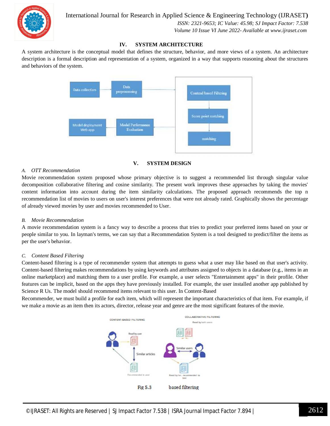

International Journal for Research in Applied Science & Engineering Technology (IJRASET**)**

 *ISSN: 2321-9653; IC Value: 45.98; SJ Impact Factor: 7.538*

 *Volume 10 Issue VI June 2022- Available at www.ijraset.com*

#### **IV. SYSTEM ARCHITECTURE**

A system architecture is the conceptual model that defines the structure, behavior, and more views of a system. An architecture description is a formal description and representation of a system, organized in a way that supports reasoning about the structures and behaviors of the system.



#### **V. SYSTEM DESIGN**

#### *A. OTT Recommendation*

Movie recommendation system proposed whose primary objective is to suggest a recommended list through singular value decomposition collaborative filtering and cosine similarity. The present work improves these approaches by taking the movies' content information into account during the item similarity calculations. The proposed approach recommends the top n recommendation list of movies to users on user's interest preferences that were not already rated. Graphically shows the percentage of already viewed movies by user and movies recommended to User.

#### *B. Movie Recommendation*

A movie recommendation system is a fancy way to describe a process that tries to predict your preferred items based on your or people similar to you. In layman's terms, we can say that a Recommendation System is a tool designed to predict/filter the items as per the user's behavior.

#### *C. Content Based Filtering*

Content-based filtering is a type of recommender system that attempts to guess what a user may like based on that user's activity. Content-based filtering makes recommendations by using keywords and attributes assigned to objects in a database (e.g., items in an online marketplace) and matching them to a user profile. For example, a user selects "Entertainment apps" in their profile. Other features can be implicit, based on the apps they have previously installed. For example, the user installed another app published by Science R Us. The model should recommend items relevant to this user. In Content-Based

Recommender, we must build a profile for each item, which will represent the important characteristics of that item. For example, if we make a movie as an item then its actors, director, release year and genre are the most significant features of the movie.

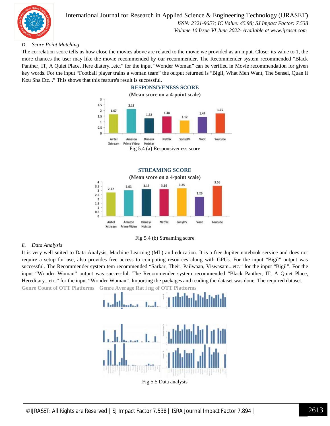

#### International Journal for Research in Applied Science & Engineering Technology (IJRASET**)**  *ISSN: 2321-9653; IC Value: 45.98; SJ Impact Factor: 7.538*

 *Volume 10 Issue VI June 2022- Available at www.ijraset.com*

#### *D. Score Point Matching*

The correlation score tells us how close the movies above are related to the movie we provided as an input. Closer its value to 1, the more chances the user may like the movie recommended by our recommender. The Recommender system recommended "Black Panther, IT, A Quiet Place, Here diatery...etc." for the input "Wonder Woman" can be verified in Movie recommendation for given key words. For the input "Football player trains a woman team" the output returned is "Bigil, What Men Want, The Sensei, Quan li Kou Sha Etc..." This shows that this feature's result is successful.

**RESPONSIVENESS SCORE**





#### *E. Data Analysis*

It is very well suited to Data Analysis, Machine Learning (ML) and education. It is a free Jupiter notebook service and does not require a setup for use, also provides free access to computing resources along with GPUs. For the input "Bigil" output was successful. The Recommender system tem recommended "Sarkar, Their, Pailwaan, Viswasam...etc." for the input "Bigil". For the input "Wonder Woman" output was successful. The Recommender system recommended "Black Panther, IT, A Quiet Place, Hereditary...etc." for the input "Wonder Woman". Importing the packages and reading the dataset was done. The required dataset. **Genre Count of OTT Platforms Genre Average Rat i ng of OTT Platforms**

Fig 5.4 (b) Streaming score



Fig 5.5 Data analysis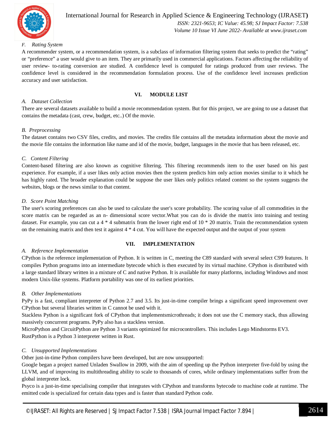

#### International Journal for Research in Applied Science & Engineering Technology (IJRASET**)**  *ISSN: 2321-9653; IC Value: 45.98; SJ Impact Factor: 7.538 Volume 10 Issue VI June 2022- Available at www.ijraset.com*

#### *F. Rating System*

A recommender system, or a recommendation system, is a subclass of information filtering system that seeks to predict the "rating" or "preference" a user would give to an item. They are primarily used in commercial applications. Factors affecting the reliability of user review- to-rating conversion are studied. A confidence level is computed for ratings produced from user reviews. The confidence level is considered in the recommendation formulation process. Use of the confidence level increases prediction accuracy and user satisfaction.

#### **VI. MODULE LIST**

#### *A. Dataset Collection*

There are several datasets available to build a movie recommendation system. But for this project, we are going to use a dataset that contains the metadata (cast, crew, budget, etc..) Of the movie.

#### *B. Preprocessing*

The dataset contains two CSV files, credits, and movies. The credits file contains all the metadata information about the movie and the movie file contains the information like name and id of the movie, budget, languages in the movie that has been released, etc.

#### *C. Content Filtering*

Content-based filtering are also known as cognitive filtering. This filtering recommends item to the user based on his past experience. For example, if a user likes only action movies then the system predicts him only action movies similar to it which he has highly rated. The broader explanation could be suppose the user likes only politics related content so the system suggests the websites, blogs or the news similar to that content.

#### *D. Score Point Matching*

The user's scoring preferences can also be used to calculate the user's score probability. The scoring value of all commodities in the score matrix can be regarded as an n- dimensional score vector.What you can do is divide the matrix into training and testing dataset. For example, you can cut a  $4 * 4$  submatrix from the lower right end of  $10 * 20$  matrix. Train the recommendation system on the remaining matrix and then test it against 4 \* 4 cut. You will have the expected output and the output of your system

#### **VII. IMPLEMENTATION**

#### *A. Reference Implementation*

CPython is the reference implementation of Python. It is written in C, meeting the C89 standard with several select C99 features. It compiles Python programs into an intermediate bytecode which is then executed by its virtual machine. CPython is distributed with a large standard library written in a mixture of C and native Python. It is available for many platforms, including Windows and most modern Unix-like systems. Platform portability was one of its earliest priorities.

#### *B. Other Implementations*

PyPy is a fast, compliant interpreter of Python 2.7 and 3.5. Its just-in-time compiler brings a significant speed improvement over CPython but several libraries written in C cannot be used with it.

Stackless Python is a significant fork of CPython that implementsmicrothreads; it does not use the C memory stack, thus allowing massively concurrent programs. PyPy also has a stackless version.

MicroPython and CircuitPython are Python 3 variants optimized for microcontrollers. This includes Lego Mindstorms EV3. RustPython is a Python 3 interpreter written in Rust.

#### *C. Unsupported Implementations*

Other just-in-time Python compilers have been developed, but are now unsupported:

Google began a project named Unladen Swallow in 2009, with the aim of speeding up the Python interpreter five-fold by using the LLVM, and of improving its multithreading ability to scale to thousands of cores, while ordinary implementations suffer from the global interpreter lock.

Psyco is a just-in-time specialising compiler that integrates with CPython and transforms bytecode to machine code at runtime. The emitted code is specialized for certain data types and is faster than standard Python code.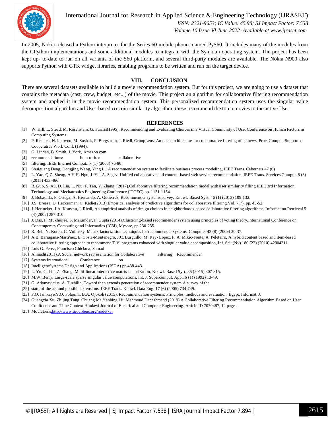

International Journal for Research in Applied Science & Engineering Technology (IJRASET**)**

 *ISSN: 2321-9653; IC Value: 45.98; SJ Impact Factor: 7.538 Volume 10 Issue VI June 2022- Available at www.ijraset.com*

In 2005, Nokia released a Python interpreter for the Series 60 mobile phones named PyS60. It includes many of the modules from the CPython implementations and some additional modules to integrate with the Symbian operating system. The project has been kept up- to-date to run on all variants of the S60 platform, and several third-party modules are available. The Nokia N900 also supports Python with GTK widget libraries, enabling programs to be written and run on the target device.

#### **VIII. CONCLUSION**

There are several datasets available to build a movie recommendation system. But for this project, we are going to use a dataset that contains the metadata (cast, crew, budget, etc...) of the movie. This project an algorithm for collaborative filtering recommendation system and applied it in the movie recommendation system. This personalized recommendation system uses the singular value decomposition algorithm and User-based co-coin similarity algorithm; these recommend the top n movies to the active User.

#### **REFERENCES**

- [1] W. Hill, L. Stead, M. Rosenstein, G. Furnas(1995). Recommending and Evaluating Choices in a Virtual Community of Use. Conference on Human Factors in Computing Systems.
- [2] P. Resnick, N. Iakovou, M. Sushak, P. Bergstrom, J. Riedl, GroupLens: An open architecture for collaborative filtering of netnews, Proc. Comput. Supported Cooperative Work Conf. (1994).
- [3] G. Linden, B. Smith, J. York, Amazon.com
- [4] recommendations: Item-to-item collaborative
- [5] filtering, IEEE Internet Comput.. 7 (1) (2003) 76-80.
- [6] Shuiguang Deng, Dongjing Wang, Ying Li, A recommendation system to facilitate business process modeling, IEEE Trans. Cabernets 47 (6)
- [7] L. Yao, Q.Z. Sheng, A.H.H. Ngu, J. Yu, A. Segev, Unified collaborative and content- based web service recommendation, IEEE Trans. Services Comput. 8 (3) (2015) 453-466.
- [8] B. Guo, S. Xu, D. Liu, L. Niu, F. Tan, Y. Zhang. (2017).Collaborative filtering recommendation model with user similarity filling.IEEE 3rd Information Technology and Mechatronics Engineering Conference (ITOEC) pp. 1151-1154.
- [9] J. Bobadilla, F. Ortega, A. Hernando, A. Gutierrez, Recommender systems survey, Knowl.-Based Syst. 46 (1) (2013) 109-132.
- [10] J.S. Breese, D. Heckerman, C. Kadie(2013).Empirical analysis of predictive algorithms for collaborative filtering.Vol. 7(7), pp. 43-52.
- [11] J. Herlocker, J.A. Konstan, J. Riedl, An empirical analysis of design choices in neighborhoods-based collaborative filtering algorithms, Information Retrieval 5 (4)(2002) 287-310.
- [12] J. Das, P. Mukherjee, S. Majumder, P. Gupta (2014).Clustering-based recommender system using principles of voting theory.International Conference on Contemporary Computing and Informatics (IC3I), Mysore, pp.230-235.
- [13] R. Bell, Y. Koren, C. Volinsky, Matrix factorization techniques for recommender systems, Computer 42 (8) (2009) 30-37.
- [14] A.B. Barragans-Marti'nez, E. Costa-Montenegro, J.C. Burguillo, M. Rey- Lopez, F. A. Mikic-Fonte, A. Peleteiro, A hybrid content based and item-based collaborative filtering approach to recommend T.V. programs enhanced with singular value decomposition, Inf. Sci. (Ny) 180 (22) (2010) 42904311. [15] Luis G. Perez, Francisco Chiclana, Samad
- [16] Ahmadi(2011).A Social network representation for Collaborative Filtering Recommender
- [17] Systems.International Conference on
- [18] IntelligentSystems Design and Applications (ISDA) pp 438-443.
- [19] L. Yu, C. Liu, Z. Zhang, Multi-linear interactive matrix factorization, Knowl.-Based Syst. 85 (2015) 307-315.
- [20] M.W. Berry, Large-scale sparse singular value computations, Int. J. Supercomput. Appl. 6 (1) (1992) 13-49.
- [21] G. Adomavicius, A. Tuzhilin, Toward then extends generation of recommender system.A survey of the
- [22] state-of-the-art and possible extensions, IEEE Trans. Knowl. Data Eng. 17 (6) (2005) 734-749.
- [23] F.O. Isinkaye,Y.O. Folajimi, B.A. Ojokoh (2015). Recommendation systems: Principles, methods and evaluation. Egypt. Informat. J.
- [24] Guangxia Xu, Zhijing Tang, Chuang Ma,Yanbing Liu,Mahmoud Daneshmand (2019).A Collaborative Filtering Recommendation Algorithm Based on User Confidence and Time Context.Hindawi Journal of Electrical and Computer Engineering. Article ID 7070487, 12 pages.
- [25] MovieLens, http://www.grouplens.org/node/73.